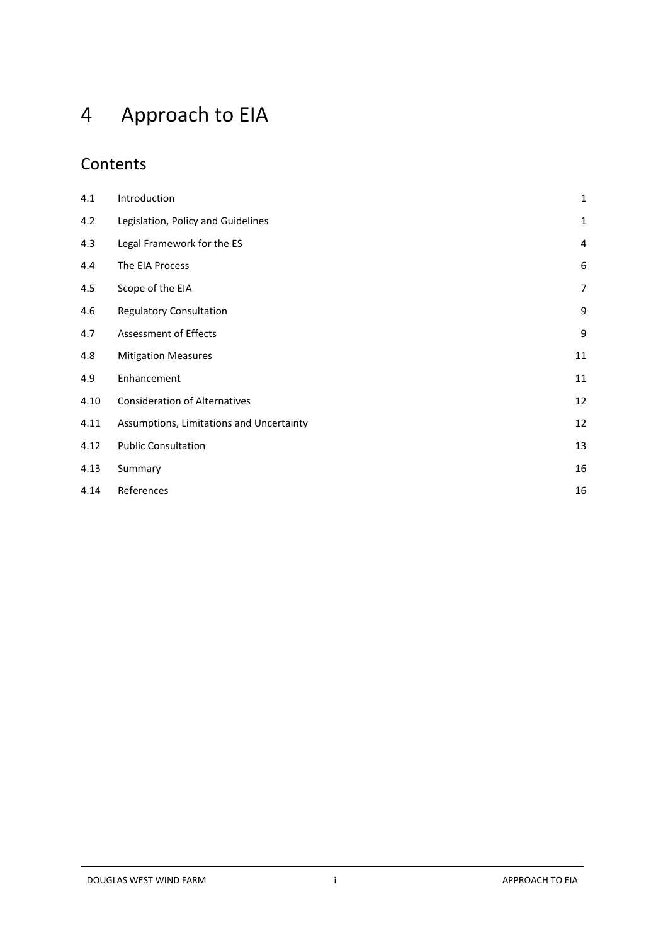# 4 Approach to EIA

## Contents

| 4.1  | Introduction                             | $\mathbf 1$      |
|------|------------------------------------------|------------------|
| 4.2  | Legislation, Policy and Guidelines       | $\mathbf{1}$     |
| 4.3  | Legal Framework for the ES               | 4                |
| 4.4  | The EIA Process                          | 6                |
| 4.5  | Scope of the EIA                         | $\overline{7}$   |
| 4.6  | <b>Regulatory Consultation</b>           | 9                |
| 4.7  | Assessment of Effects                    | $\boldsymbol{9}$ |
| 4.8  | <b>Mitigation Measures</b>               | 11               |
| 4.9  | Enhancement                              | 11               |
| 4.10 | <b>Consideration of Alternatives</b>     | 12               |
| 4.11 | Assumptions, Limitations and Uncertainty | 12               |
| 4.12 | <b>Public Consultation</b>               | 13               |
| 4.13 | Summary                                  | 16               |
| 4.14 | References                               | 16               |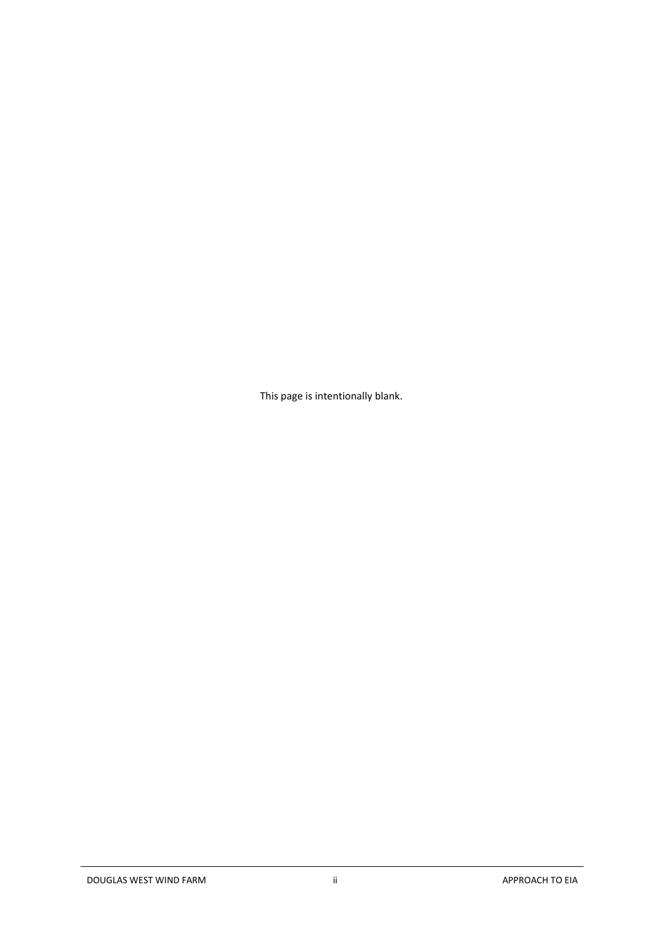This page is intentionally blank.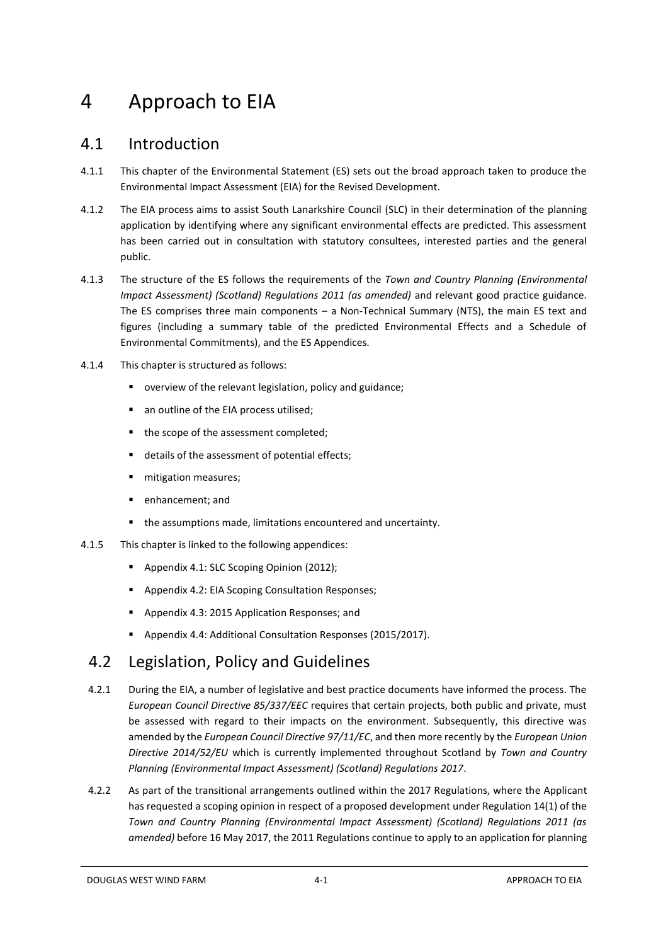# 4 Approach to EIA

### <span id="page-2-0"></span>4.1 Introduction

- 4.1.1 This chapter of the Environmental Statement (ES) sets out the broad approach taken to produce the Environmental Impact Assessment (EIA) for the Revised Development.
- 4.1.2 The EIA process aims to assist South Lanarkshire Council (SLC) in their determination of the planning application by identifying where any significant environmental effects are predicted. This assessment has been carried out in consultation with statutory consultees, interested parties and the general public.
- 4.1.3 The structure of the ES follows the requirements of the *Town and Country Planning (Environmental Impact Assessment) (Scotland) Regulations 2011 (as amended)* and relevant good practice guidance. The ES comprises three main components – a Non-Technical Summary (NTS), the main ES text and figures (including a summary table of the predicted Environmental Effects and a Schedule of Environmental Commitments), and the ES Appendices.
- 4.1.4 This chapter is structured as follows:
	- overview of the relevant legislation, policy and guidance;
	- an outline of the EIA process utilised;
	- the scope of the assessment completed;
	- details of the assessment of potential effects;
	- **nd** mitigation measures;
	- **•** enhancement; and
	- the assumptions made, limitations encountered and uncertainty.
- 4.1.5 This chapter is linked to the following appendices:
	- Appendix 4.1: SLC Scoping Opinion (2012);
	- **Appendix 4.2: EIA Scoping Consultation Responses;**
	- **Appendix 4.3: 2015 Application Responses; and**
	- Appendix 4.4: Additional Consultation Responses (2015/2017).

### <span id="page-2-1"></span>4.2 Legislation, Policy and Guidelines

- 4.2.1 During the EIA, a number of legislative and best practice documents have informed the process. The *European Council Directive 85/337/EEC* requires that certain projects, both public and private, must be assessed with regard to their impacts on the environment. Subsequently, this directive was amended by the *European Council Directive 97/11/EC*, and then more recently by the *European Union Directive 2014/52/EU* which is currently implemented throughout Scotland by *Town and Country Planning (Environmental Impact Assessment) (Scotland) Regulations 2017*.
- 4.2.2 As part of the transitional arrangements outlined within the 2017 Regulations, where the Applicant has requested a scoping opinion in respect of a proposed development under Regulation 14(1) of the *Town and Country Planning (Environmental Impact Assessment) (Scotland) Regulations 2011 (as amended)* before 16 May 2017, the 2011 Regulations continue to apply to an application for planning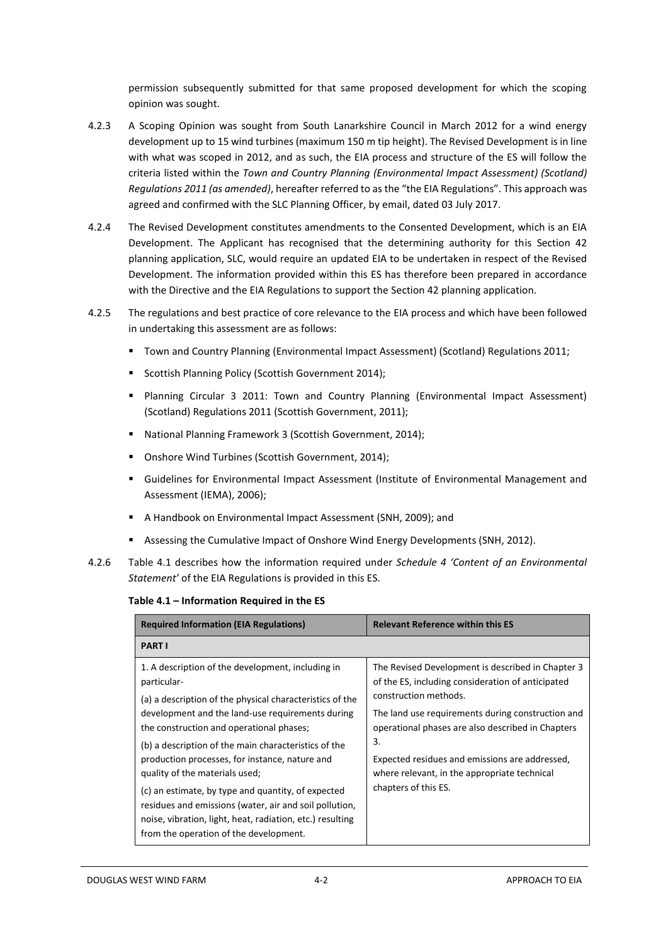permission subsequently submitted for that same proposed development for which the scoping opinion was sought.

- 4.2.3 A Scoping Opinion was sought from South Lanarkshire Council in March 2012 for a wind energy development up to 15 wind turbines (maximum 150 m tip height). The Revised Development is in line with what was scoped in 2012, and as such, the EIA process and structure of the ES will follow the criteria listed within the *Town and Country Planning (Environmental Impact Assessment) (Scotland) Regulations 2011 (as amended)*, hereafter referred to as the "the EIA Regulations". This approach was agreed and confirmed with the SLC Planning Officer, by email, dated 03 July 2017.
- 4.2.4 The Revised Development constitutes amendments to the Consented Development, which is an EIA Development. The Applicant has recognised that the determining authority for this Section 42 planning application, SLC, would require an updated EIA to be undertaken in respect of the Revised Development. The information provided within this ES has therefore been prepared in accordance with the Directive and the EIA Regulations to support the Section 42 planning application.
- 4.2.5 The regulations and best practice of core relevance to the EIA process and which have been followed in undertaking this assessment are as follows:
	- Town and Country Planning (Environmental Impact Assessment) (Scotland) Regulations 2011;
	- **Scottish Planning Policy (Scottish Government 2014);**
	- Planning Circular 3 2011: Town and Country Planning (Environmental Impact Assessment) (Scotland) Regulations 2011 (Scottish Government, 2011);
	- National Planning Framework 3 (Scottish Government, 2014);
	- Onshore Wind Turbines (Scottish Government, 2014);
	- Guidelines for Environmental Impact Assessment (Institute of Environmental Management and Assessment (IEMA), 2006);
	- A Handbook on Environmental Impact Assessment (SNH, 2009); and
	- Assessing the Cumulative Impact of Onshore Wind Energy Developments (SNH, 2012).
- 4.2.6 Table 4.1 describes how the information required under *Schedule 4 'Content of an Environmental Statement'* of the EIA Regulations is provided in this ES.

**Table 4.1 – Information Required in the ES**

| <b>Required Information (EIA Regulations)</b>                                                                                                                                                                                                                                                        | <b>Relevant Reference within this ES</b>                                                                                                                                                                                                |
|------------------------------------------------------------------------------------------------------------------------------------------------------------------------------------------------------------------------------------------------------------------------------------------------------|-----------------------------------------------------------------------------------------------------------------------------------------------------------------------------------------------------------------------------------------|
| <b>PART I</b>                                                                                                                                                                                                                                                                                        |                                                                                                                                                                                                                                         |
| 1. A description of the development, including in<br>particular-                                                                                                                                                                                                                                     | The Revised Development is described in Chapter 3<br>of the ES, including consideration of anticipated                                                                                                                                  |
| (a) a description of the physical characteristics of the<br>development and the land-use requirements during<br>the construction and operational phases;<br>(b) a description of the main characteristics of the<br>production processes, for instance, nature and<br>quality of the materials used; | construction methods.<br>The land use requirements during construction and<br>operational phases are also described in Chapters<br>3.<br>Expected residues and emissions are addressed,<br>where relevant, in the appropriate technical |
|                                                                                                                                                                                                                                                                                                      |                                                                                                                                                                                                                                         |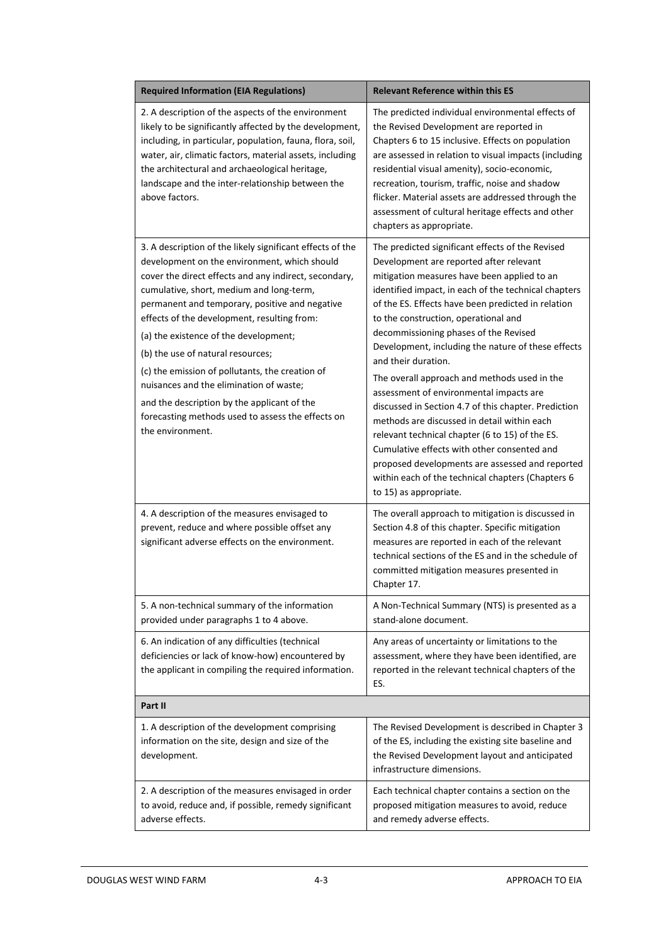| <b>Required Information (EIA Regulations)</b>                                                                                                                                                                                                                                                                                                                                                                                                                                                                                                                                                                       | <b>Relevant Reference within this ES</b>                                                                                                                                                                                                                                                                                                                                                                                                                                                                                                                                                                                                                                                                                                                                                                                                                     |
|---------------------------------------------------------------------------------------------------------------------------------------------------------------------------------------------------------------------------------------------------------------------------------------------------------------------------------------------------------------------------------------------------------------------------------------------------------------------------------------------------------------------------------------------------------------------------------------------------------------------|--------------------------------------------------------------------------------------------------------------------------------------------------------------------------------------------------------------------------------------------------------------------------------------------------------------------------------------------------------------------------------------------------------------------------------------------------------------------------------------------------------------------------------------------------------------------------------------------------------------------------------------------------------------------------------------------------------------------------------------------------------------------------------------------------------------------------------------------------------------|
| 2. A description of the aspects of the environment<br>likely to be significantly affected by the development,<br>including, in particular, population, fauna, flora, soil,<br>water, air, climatic factors, material assets, including<br>the architectural and archaeological heritage,<br>landscape and the inter-relationship between the<br>above factors.                                                                                                                                                                                                                                                      | The predicted individual environmental effects of<br>the Revised Development are reported in<br>Chapters 6 to 15 inclusive. Effects on population<br>are assessed in relation to visual impacts (including<br>residential visual amenity), socio-economic,<br>recreation, tourism, traffic, noise and shadow<br>flicker. Material assets are addressed through the<br>assessment of cultural heritage effects and other<br>chapters as appropriate.                                                                                                                                                                                                                                                                                                                                                                                                          |
| 3. A description of the likely significant effects of the<br>development on the environment, which should<br>cover the direct effects and any indirect, secondary,<br>cumulative, short, medium and long-term,<br>permanent and temporary, positive and negative<br>effects of the development, resulting from:<br>(a) the existence of the development;<br>(b) the use of natural resources;<br>(c) the emission of pollutants, the creation of<br>nuisances and the elimination of waste;<br>and the description by the applicant of the<br>forecasting methods used to assess the effects on<br>the environment. | The predicted significant effects of the Revised<br>Development are reported after relevant<br>mitigation measures have been applied to an<br>identified impact, in each of the technical chapters<br>of the ES. Effects have been predicted in relation<br>to the construction, operational and<br>decommissioning phases of the Revised<br>Development, including the nature of these effects<br>and their duration.<br>The overall approach and methods used in the<br>assessment of environmental impacts are<br>discussed in Section 4.7 of this chapter. Prediction<br>methods are discussed in detail within each<br>relevant technical chapter (6 to 15) of the ES.<br>Cumulative effects with other consented and<br>proposed developments are assessed and reported<br>within each of the technical chapters (Chapters 6<br>to 15) as appropriate. |
| 4. A description of the measures envisaged to<br>prevent, reduce and where possible offset any<br>significant adverse effects on the environment.                                                                                                                                                                                                                                                                                                                                                                                                                                                                   | The overall approach to mitigation is discussed in<br>Section 4.8 of this chapter. Specific mitigation<br>measures are reported in each of the relevant<br>technical sections of the ES and in the schedule of<br>committed mitigation measures presented in<br>Chapter 17.                                                                                                                                                                                                                                                                                                                                                                                                                                                                                                                                                                                  |
| 5. A non-technical summary of the information<br>provided under paragraphs 1 to 4 above.                                                                                                                                                                                                                                                                                                                                                                                                                                                                                                                            | A Non-Technical Summary (NTS) is presented as a<br>stand-alone document.                                                                                                                                                                                                                                                                                                                                                                                                                                                                                                                                                                                                                                                                                                                                                                                     |
| 6. An indication of any difficulties (technical<br>deficiencies or lack of know-how) encountered by<br>the applicant in compiling the required information.                                                                                                                                                                                                                                                                                                                                                                                                                                                         | Any areas of uncertainty or limitations to the<br>assessment, where they have been identified, are<br>reported in the relevant technical chapters of the<br>ES.                                                                                                                                                                                                                                                                                                                                                                                                                                                                                                                                                                                                                                                                                              |
| Part II                                                                                                                                                                                                                                                                                                                                                                                                                                                                                                                                                                                                             |                                                                                                                                                                                                                                                                                                                                                                                                                                                                                                                                                                                                                                                                                                                                                                                                                                                              |
| 1. A description of the development comprising<br>information on the site, design and size of the<br>development.                                                                                                                                                                                                                                                                                                                                                                                                                                                                                                   | The Revised Development is described in Chapter 3<br>of the ES, including the existing site baseline and<br>the Revised Development layout and anticipated<br>infrastructure dimensions.                                                                                                                                                                                                                                                                                                                                                                                                                                                                                                                                                                                                                                                                     |
| 2. A description of the measures envisaged in order<br>to avoid, reduce and, if possible, remedy significant<br>adverse effects.                                                                                                                                                                                                                                                                                                                                                                                                                                                                                    | Each technical chapter contains a section on the<br>proposed mitigation measures to avoid, reduce<br>and remedy adverse effects.                                                                                                                                                                                                                                                                                                                                                                                                                                                                                                                                                                                                                                                                                                                             |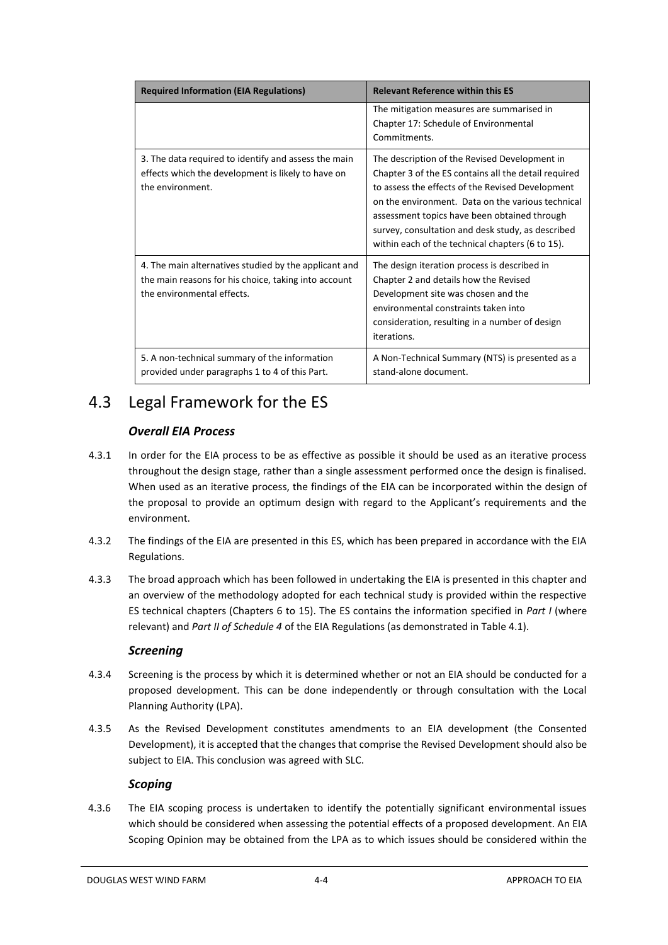| <b>Required Information (EIA Regulations)</b>                                                                                               | <b>Relevant Reference within this ES</b>                                                                                                                                                                                                                                                                                                                                |
|---------------------------------------------------------------------------------------------------------------------------------------------|-------------------------------------------------------------------------------------------------------------------------------------------------------------------------------------------------------------------------------------------------------------------------------------------------------------------------------------------------------------------------|
|                                                                                                                                             | The mitigation measures are summarised in<br>Chapter 17: Schedule of Environmental<br>Commitments.                                                                                                                                                                                                                                                                      |
| 3. The data required to identify and assess the main<br>effects which the development is likely to have on<br>the environment.              | The description of the Revised Development in<br>Chapter 3 of the ES contains all the detail required<br>to assess the effects of the Revised Development<br>on the environment. Data on the various technical<br>assessment topics have been obtained through<br>survey, consultation and desk study, as described<br>within each of the technical chapters (6 to 15). |
| 4. The main alternatives studied by the applicant and<br>the main reasons for his choice, taking into account<br>the environmental effects. | The design iteration process is described in<br>Chapter 2 and details how the Revised<br>Development site was chosen and the<br>environmental constraints taken into<br>consideration, resulting in a number of design<br>iterations.                                                                                                                                   |
| 5. A non-technical summary of the information<br>provided under paragraphs 1 to 4 of this Part.                                             | A Non-Technical Summary (NTS) is presented as a<br>stand-alone document.                                                                                                                                                                                                                                                                                                |

### <span id="page-5-0"></span>4.3 Legal Framework for the ES

#### *Overall EIA Process*

- 4.3.1 In order for the EIA process to be as effective as possible it should be used as an iterative process throughout the design stage, rather than a single assessment performed once the design is finalised. When used as an iterative process, the findings of the EIA can be incorporated within the design of the proposal to provide an optimum design with regard to the Applicant's requirements and the environment.
- 4.3.2 The findings of the EIA are presented in this ES, which has been prepared in accordance with the EIA Regulations.
- 4.3.3 The broad approach which has been followed in undertaking the EIA is presented in this chapter and an overview of the methodology adopted for each technical study is provided within the respective ES technical chapters (Chapters 6 to 15). The ES contains the information specified in *Part I* (where relevant) and *Part II of Schedule 4* of the EIA Regulations (as demonstrated in Table 4.1).

#### *Screening*

- 4.3.4 Screening is the process by which it is determined whether or not an EIA should be conducted for a proposed development. This can be done independently or through consultation with the Local Planning Authority (LPA).
- 4.3.5 As the Revised Development constitutes amendments to an EIA development (the Consented Development), it is accepted that the changes that comprise the Revised Development should also be subject to EIA. This conclusion was agreed with SLC.

#### *Scoping*

4.3.6 The EIA scoping process is undertaken to identify the potentially significant environmental issues which should be considered when assessing the potential effects of a proposed development. An EIA Scoping Opinion may be obtained from the LPA as to which issues should be considered within the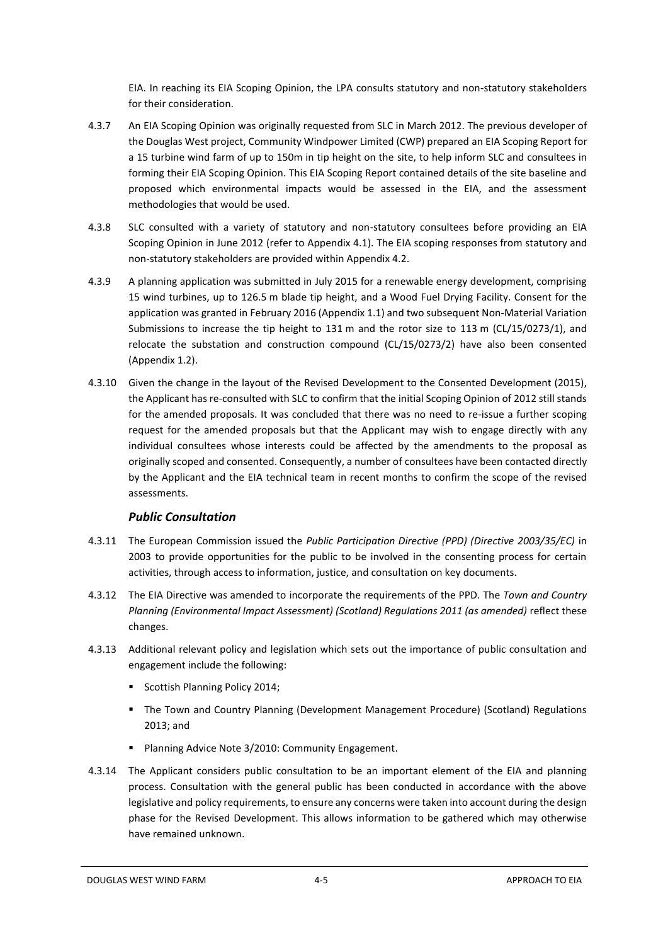EIA. In reaching its EIA Scoping Opinion, the LPA consults statutory and non-statutory stakeholders for their consideration.

- 4.3.7 An EIA Scoping Opinion was originally requested from SLC in March 2012. The previous developer of the Douglas West project, Community Windpower Limited (CWP) prepared an EIA Scoping Report for a 15 turbine wind farm of up to 150m in tip height on the site, to help inform SLC and consultees in forming their EIA Scoping Opinion. This EIA Scoping Report contained details of the site baseline and proposed which environmental impacts would be assessed in the EIA, and the assessment methodologies that would be used.
- 4.3.8 SLC consulted with a variety of statutory and non-statutory consultees before providing an EIA Scoping Opinion in June 2012 (refer to Appendix 4.1). The EIA scoping responses from statutory and non-statutory stakeholders are provided within Appendix 4.2.
- 4.3.9 A planning application was submitted in July 2015 for a renewable energy development, comprising 15 wind turbines, up to 126.5 m blade tip height, and a Wood Fuel Drying Facility. Consent for the application was granted in February 2016 (Appendix 1.1) and two subsequent Non-Material Variation Submissions to increase the tip height to 131 m and the rotor size to 113 m (CL/15/0273/1), and relocate the substation and construction compound (CL/15/0273/2) have also been consented (Appendix 1.2).
- 4.3.10 Given the change in the layout of the Revised Development to the Consented Development (2015), the Applicant has re-consulted with SLC to confirm that the initial Scoping Opinion of 2012 still stands for the amended proposals. It was concluded that there was no need to re-issue a further scoping request for the amended proposals but that the Applicant may wish to engage directly with any individual consultees whose interests could be affected by the amendments to the proposal as originally scoped and consented. Consequently, a number of consultees have been contacted directly by the Applicant and the EIA technical team in recent months to confirm the scope of the revised assessments.

#### *Public Consultation*

- 4.3.11 The European Commission issued the *Public Participation Directive (PPD) (Directive 2003/35/EC)* in 2003 to provide opportunities for the public to be involved in the consenting process for certain activities, through access to information, justice, and consultation on key documents.
- 4.3.12 The EIA Directive was amended to incorporate the requirements of the PPD. The *Town and Country Planning (Environmental Impact Assessment) (Scotland) Regulations 2011 (as amended)* reflect these changes.
- 4.3.13 Additional relevant policy and legislation which sets out the importance of public consultation and engagement include the following:
	- **Scottish Planning Policy 2014;**
	- The Town and Country Planning (Development Management Procedure) (Scotland) Regulations 2013; and
	- **Planning Advice Note 3/2010: Community Engagement.**
- 4.3.14 The Applicant considers public consultation to be an important element of the EIA and planning process. Consultation with the general public has been conducted in accordance with the above legislative and policy requirements, to ensure any concerns were taken into account during the design phase for the Revised Development. This allows information to be gathered which may otherwise have remained unknown.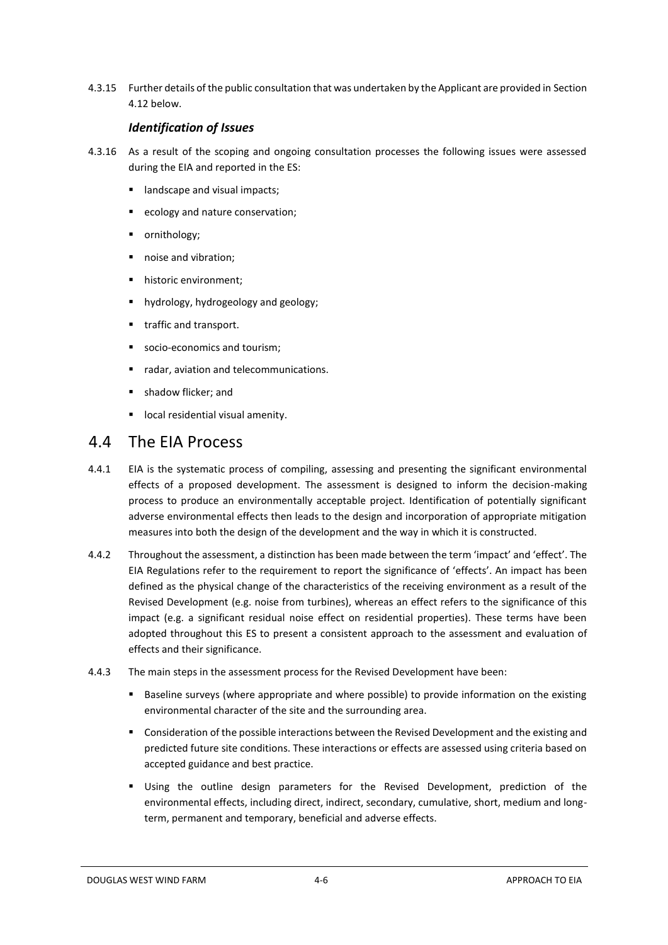4.3.15 Further details of the public consultation that was undertaken by the Applicant are provided in Section 4.12 below.

#### *Identification of Issues*

- 4.3.16 As a result of the scoping and ongoing consultation processes the following issues were assessed during the EIA and reported in the ES:
	- **I** landscape and visual impacts;
	- **ecology and nature conservation;**
	- **•** ornithology;
	- noise and vibration;
	- historic environment;
	- **•** hydrology, hydrogeology and geology;
	- **traffic and transport.**
	- socio-economics and tourism;
	- radar, aviation and telecommunications.
	- shadow flicker; and
	- **IDCAL residential visual amenity.**

### <span id="page-7-0"></span>4.4 The EIA Process

- 4.4.1 EIA is the systematic process of compiling, assessing and presenting the significant environmental effects of a proposed development. The assessment is designed to inform the decision-making process to produce an environmentally acceptable project. Identification of potentially significant adverse environmental effects then leads to the design and incorporation of appropriate mitigation measures into both the design of the development and the way in which it is constructed.
- 4.4.2 Throughout the assessment, a distinction has been made between the term 'impact' and 'effect'. The EIA Regulations refer to the requirement to report the significance of 'effects'. An impact has been defined as the physical change of the characteristics of the receiving environment as a result of the Revised Development (e.g. noise from turbines), whereas an effect refers to the significance of this impact (e.g. a significant residual noise effect on residential properties). These terms have been adopted throughout this ES to present a consistent approach to the assessment and evaluation of effects and their significance.
- 4.4.3 The main steps in the assessment process for the Revised Development have been:
	- Baseline surveys (where appropriate and where possible) to provide information on the existing environmental character of the site and the surrounding area.
	- Consideration of the possible interactions between the Revised Development and the existing and predicted future site conditions. These interactions or effects are assessed using criteria based on accepted guidance and best practice.
	- Using the outline design parameters for the Revised Development, prediction of the environmental effects, including direct, indirect, secondary, cumulative, short, medium and longterm, permanent and temporary, beneficial and adverse effects.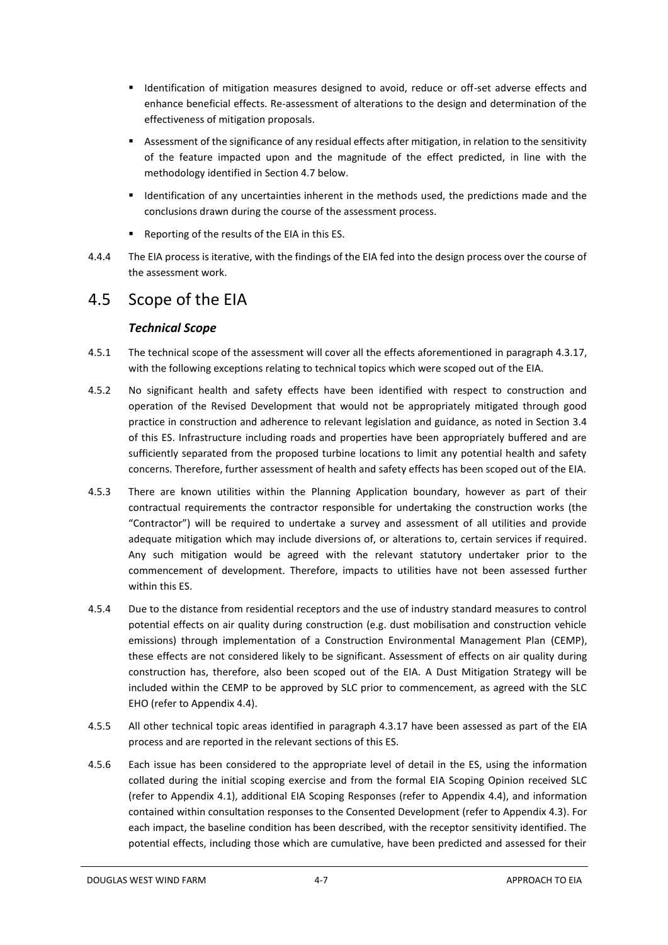- **IDENTIFICATION 12** Identification of mitigation measures designed to avoid, reduce or off-set adverse effects and enhance beneficial effects. Re-assessment of alterations to the design and determination of the effectiveness of mitigation proposals.
- Assessment of the significance of any residual effects after mitigation, in relation to the sensitivity of the feature impacted upon and the magnitude of the effect predicted, in line with the methodology identified in Section 4.7 below.
- **IDENT IS 20 IDENT** Identification of any uncertainties inherent in the methods used, the predictions made and the conclusions drawn during the course of the assessment process.
- Reporting of the results of the EIA in this ES.
- 4.4.4 The EIA process is iterative, with the findings of the EIA fed into the design process over the course of the assessment work.

### <span id="page-8-0"></span>4.5 Scope of the EIA

#### *Technical Scope*

- 4.5.1 The technical scope of the assessment will cover all the effects aforementioned in paragraph 4.3.17, with the following exceptions relating to technical topics which were scoped out of the EIA.
- 4.5.2 No significant health and safety effects have been identified with respect to construction and operation of the Revised Development that would not be appropriately mitigated through good practice in construction and adherence to relevant legislation and guidance, as noted in Section 3.4 of this ES. Infrastructure including roads and properties have been appropriately buffered and are sufficiently separated from the proposed turbine locations to limit any potential health and safety concerns. Therefore, further assessment of health and safety effects has been scoped out of the EIA.
- 4.5.3 There are known utilities within the Planning Application boundary, however as part of their contractual requirements the contractor responsible for undertaking the construction works (the "Contractor") will be required to undertake a survey and assessment of all utilities and provide adequate mitigation which may include diversions of, or alterations to, certain services if required. Any such mitigation would be agreed with the relevant statutory undertaker prior to the commencement of development. Therefore, impacts to utilities have not been assessed further within this ES.
- 4.5.4 Due to the distance from residential receptors and the use of industry standard measures to control potential effects on air quality during construction (e.g. dust mobilisation and construction vehicle emissions) through implementation of a Construction Environmental Management Plan (CEMP), these effects are not considered likely to be significant. Assessment of effects on air quality during construction has, therefore, also been scoped out of the EIA. A Dust Mitigation Strategy will be included within the CEMP to be approved by SLC prior to commencement, as agreed with the SLC EHO (refer to Appendix 4.4).
- 4.5.5 All other technical topic areas identified in paragraph 4.3.17 have been assessed as part of the EIA process and are reported in the relevant sections of this ES.
- 4.5.6 Each issue has been considered to the appropriate level of detail in the ES, using the information collated during the initial scoping exercise and from the formal EIA Scoping Opinion received SLC (refer to Appendix 4.1), additional EIA Scoping Responses (refer to Appendix 4.4), and information contained within consultation responses to the Consented Development (refer to Appendix 4.3). For each impact, the baseline condition has been described, with the receptor sensitivity identified. The potential effects, including those which are cumulative, have been predicted and assessed for their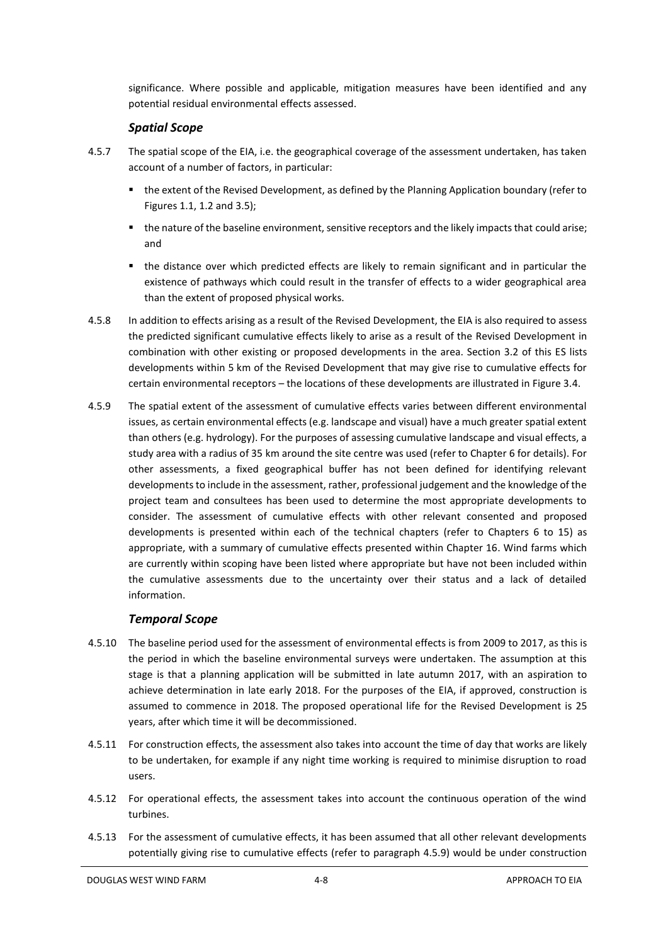significance. Where possible and applicable, mitigation measures have been identified and any potential residual environmental effects assessed.

#### *Spatial Scope*

- 4.5.7 The spatial scope of the EIA, i.e. the geographical coverage of the assessment undertaken, has taken account of a number of factors, in particular:
	- the extent of the Revised Development, as defined by the Planning Application boundary (refer to Figures 1.1, 1.2 and 3.5);
	- the nature of the baseline environment, sensitive receptors and the likely impacts that could arise; and
	- the distance over which predicted effects are likely to remain significant and in particular the existence of pathways which could result in the transfer of effects to a wider geographical area than the extent of proposed physical works.
- 4.5.8 In addition to effects arising as a result of the Revised Development, the EIA is also required to assess the predicted significant cumulative effects likely to arise as a result of the Revised Development in combination with other existing or proposed developments in the area. Section 3.2 of this ES lists developments within 5 km of the Revised Development that may give rise to cumulative effects for certain environmental receptors – the locations of these developments are illustrated in Figure 3.4.
- 4.5.9 The spatial extent of the assessment of cumulative effects varies between different environmental issues, as certain environmental effects (e.g. landscape and visual) have a much greater spatial extent than others (e.g. hydrology). For the purposes of assessing cumulative landscape and visual effects, a study area with a radius of 35 km around the site centre was used (refer to Chapter 6 for details). For other assessments, a fixed geographical buffer has not been defined for identifying relevant developments to include in the assessment, rather, professional judgement and the knowledge of the project team and consultees has been used to determine the most appropriate developments to consider. The assessment of cumulative effects with other relevant consented and proposed developments is presented within each of the technical chapters (refer to Chapters 6 to 15) as appropriate, with a summary of cumulative effects presented within Chapter 16. Wind farms which are currently within scoping have been listed where appropriate but have not been included within the cumulative assessments due to the uncertainty over their status and a lack of detailed information.

#### *Temporal Scope*

- 4.5.10 The baseline period used for the assessment of environmental effects is from 2009 to 2017, as this is the period in which the baseline environmental surveys were undertaken. The assumption at this stage is that a planning application will be submitted in late autumn 2017, with an aspiration to achieve determination in late early 2018. For the purposes of the EIA, if approved, construction is assumed to commence in 2018. The proposed operational life for the Revised Development is 25 years, after which time it will be decommissioned.
- 4.5.11 For construction effects, the assessment also takes into account the time of day that works are likely to be undertaken, for example if any night time working is required to minimise disruption to road users.
- 4.5.12 For operational effects, the assessment takes into account the continuous operation of the wind turbines.
- 4.5.13 For the assessment of cumulative effects, it has been assumed that all other relevant developments potentially giving rise to cumulative effects (refer to paragraph 4.5.9) would be under construction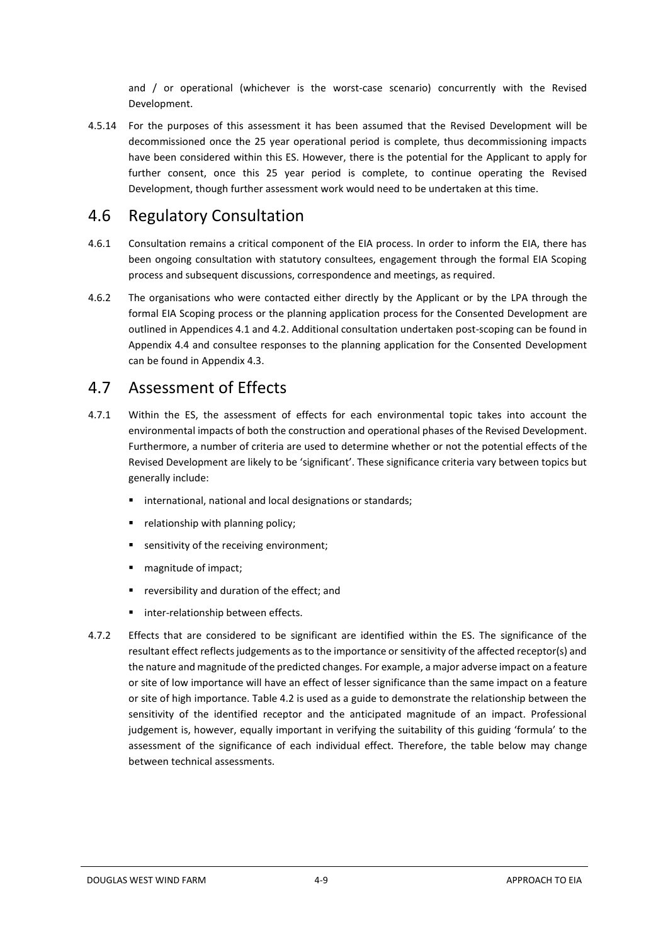and / or operational (whichever is the worst-case scenario) concurrently with the Revised Development.

4.5.14 For the purposes of this assessment it has been assumed that the Revised Development will be decommissioned once the 25 year operational period is complete, thus decommissioning impacts have been considered within this ES. However, there is the potential for the Applicant to apply for further consent, once this 25 year period is complete, to continue operating the Revised Development, though further assessment work would need to be undertaken at this time.

### <span id="page-10-0"></span>4.6 Regulatory Consultation

- 4.6.1 Consultation remains a critical component of the EIA process. In order to inform the EIA, there has been ongoing consultation with statutory consultees, engagement through the formal EIA Scoping process and subsequent discussions, correspondence and meetings, as required.
- 4.6.2 The organisations who were contacted either directly by the Applicant or by the LPA through the formal EIA Scoping process or the planning application process for the Consented Development are outlined in Appendices 4.1 and 4.2. Additional consultation undertaken post-scoping can be found in Appendix 4.4 and consultee responses to the planning application for the Consented Development can be found in Appendix 4.3.

### <span id="page-10-1"></span>4.7 Assessment of Effects

- 4.7.1 Within the ES, the assessment of effects for each environmental topic takes into account the environmental impacts of both the construction and operational phases of the Revised Development. Furthermore, a number of criteria are used to determine whether or not the potential effects of the Revised Development are likely to be 'significant'. These significance criteria vary between topics but generally include:
	- international, national and local designations or standards;
	- relationship with planning policy;
	- **sensitivity of the receiving environment;**
	- magnitude of impact;
	- reversibility and duration of the effect; and
	- **Inter-relationship between effects.**
- 4.7.2 Effects that are considered to be significant are identified within the ES. The significance of the resultant effect reflects judgements as to the importance or sensitivity of the affected receptor(s) and the nature and magnitude of the predicted changes. For example, a major adverse impact on a feature or site of low importance will have an effect of lesser significance than the same impact on a feature or site of high importance. Table 4.2 is used as a guide to demonstrate the relationship between the sensitivity of the identified receptor and the anticipated magnitude of an impact. Professional judgement is, however, equally important in verifying the suitability of this guiding 'formula' to the assessment of the significance of each individual effect. Therefore, the table below may change between technical assessments.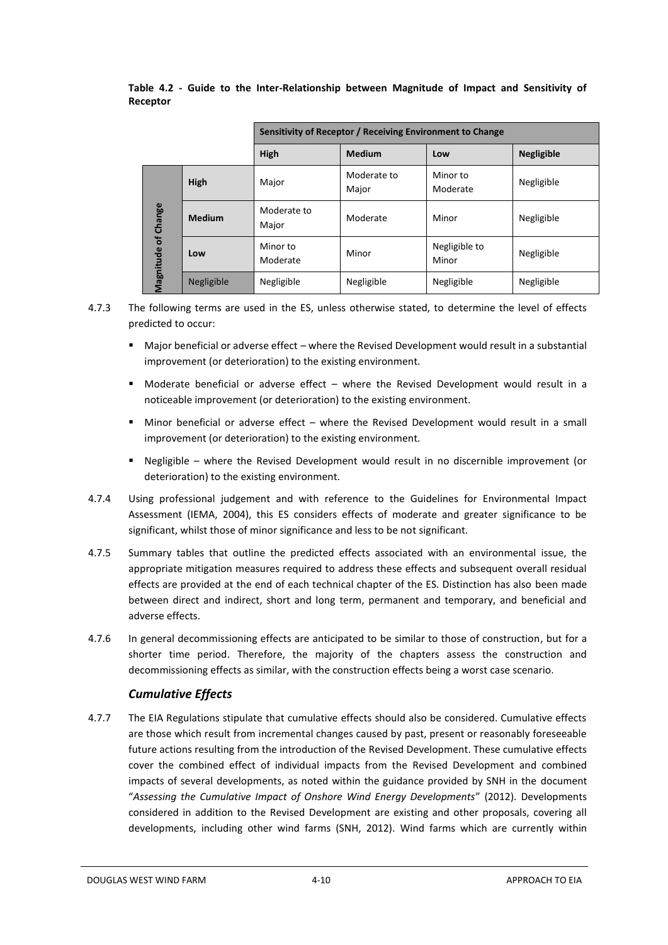|                     |               | Sensitivity of Receptor / Receiving Environment to Change |                      |                        |                   |
|---------------------|---------------|-----------------------------------------------------------|----------------------|------------------------|-------------------|
|                     |               | High                                                      | <b>Medium</b>        | Low                    | <b>Negligible</b> |
|                     | High          | Major                                                     | Moderate to<br>Major | Minor to<br>Moderate   | Negligible        |
|                     | <b>Medium</b> | Moderate to<br>Major                                      | Moderate             | Minor                  | Negligible        |
| Magnitude of Change | Low           | Minor to<br>Moderate                                      | Minor                | Negligible to<br>Minor | Negligible        |
|                     | Negligible    | Negligible                                                | Negligible           | Negligible             | Negligible        |

**Table 4.2 - Guide to the Inter-Relationship between Magnitude of Impact and Sensitivity of Receptor**

- 4.7.3 The following terms are used in the ES, unless otherwise stated, to determine the level of effects predicted to occur:
	- Major beneficial or adverse effect where the Revised Development would result in a substantial improvement (or deterioration) to the existing environment.
	- **•** Moderate beneficial or adverse effect where the Revised Development would result in a noticeable improvement (or deterioration) to the existing environment.
	- Minor beneficial or adverse effect where the Revised Development would result in a small improvement (or deterioration) to the existing environment.
	- Negligible where the Revised Development would result in no discernible improvement (or deterioration) to the existing environment.
- 4.7.4 Using professional judgement and with reference to the Guidelines for Environmental Impact Assessment (IEMA, 2004), this ES considers effects of moderate and greater significance to be significant, whilst those of minor significance and less to be not significant.
- 4.7.5 Summary tables that outline the predicted effects associated with an environmental issue, the appropriate mitigation measures required to address these effects and subsequent overall residual effects are provided at the end of each technical chapter of the ES. Distinction has also been made between direct and indirect, short and long term, permanent and temporary, and beneficial and adverse effects.
- 4.7.6 In general decommissioning effects are anticipated to be similar to those of construction, but for a shorter time period. Therefore, the majority of the chapters assess the construction and decommissioning effects as similar, with the construction effects being a worst case scenario.

#### *Cumulative Effects*

4.7.7 The EIA Regulations stipulate that cumulative effects should also be considered. Cumulative effects are those which result from incremental changes caused by past, present or reasonably foreseeable future actions resulting from the introduction of the Revised Development. These cumulative effects cover the combined effect of individual impacts from the Revised Development and combined impacts of several developments, as noted within the guidance provided by SNH in the document "*Assessing the Cumulative Impact of Onshore Wind Energy Developments*" (2012). Developments considered in addition to the Revised Development are existing and other proposals, covering all developments, including other wind farms (SNH, 2012). Wind farms which are currently within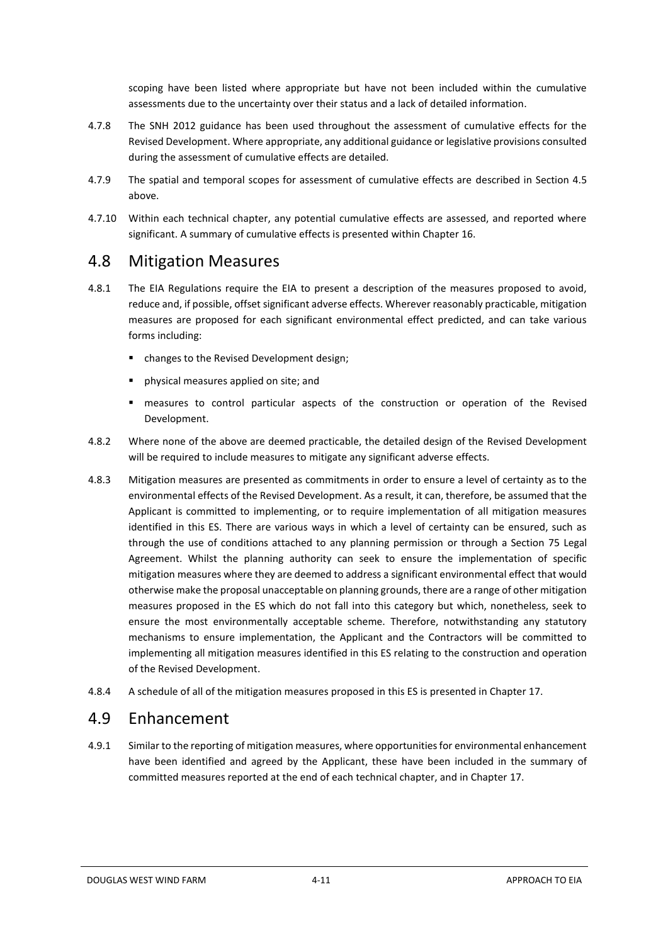scoping have been listed where appropriate but have not been included within the cumulative assessments due to the uncertainty over their status and a lack of detailed information.

- 4.7.8 The SNH 2012 guidance has been used throughout the assessment of cumulative effects for the Revised Development. Where appropriate, any additional guidance or legislative provisions consulted during the assessment of cumulative effects are detailed.
- 4.7.9 The spatial and temporal scopes for assessment of cumulative effects are described in Section 4.5 above.
- 4.7.10 Within each technical chapter, any potential cumulative effects are assessed, and reported where significant. A summary of cumulative effects is presented within Chapter 16.

### <span id="page-12-0"></span>4.8 Mitigation Measures

- 4.8.1 The EIA Regulations require the EIA to present a description of the measures proposed to avoid, reduce and, if possible, offset significant adverse effects. Wherever reasonably practicable, mitigation measures are proposed for each significant environmental effect predicted, and can take various forms including:
	- changes to the Revised Development design;
	- physical measures applied on site; and
	- measures to control particular aspects of the construction or operation of the Revised Development.
- 4.8.2 Where none of the above are deemed practicable, the detailed design of the Revised Development will be required to include measures to mitigate any significant adverse effects.
- 4.8.3 Mitigation measures are presented as commitments in order to ensure a level of certainty as to the environmental effects of the Revised Development. As a result, it can, therefore, be assumed that the Applicant is committed to implementing, or to require implementation of all mitigation measures identified in this ES. There are various ways in which a level of certainty can be ensured, such as through the use of conditions attached to any planning permission or through a Section 75 Legal Agreement. Whilst the planning authority can seek to ensure the implementation of specific mitigation measures where they are deemed to address a significant environmental effect that would otherwise make the proposal unacceptable on planning grounds, there are a range of other mitigation measures proposed in the ES which do not fall into this category but which, nonetheless, seek to ensure the most environmentally acceptable scheme. Therefore, notwithstanding any statutory mechanisms to ensure implementation, the Applicant and the Contractors will be committed to implementing all mitigation measures identified in this ES relating to the construction and operation of the Revised Development.
- 4.8.4 A schedule of all of the mitigation measures proposed in this ES is presented in Chapter 17.

### <span id="page-12-1"></span>4.9 Enhancement

4.9.1 Similar to the reporting of mitigation measures, where opportunities for environmental enhancement have been identified and agreed by the Applicant, these have been included in the summary of committed measures reported at the end of each technical chapter, and in Chapter 17.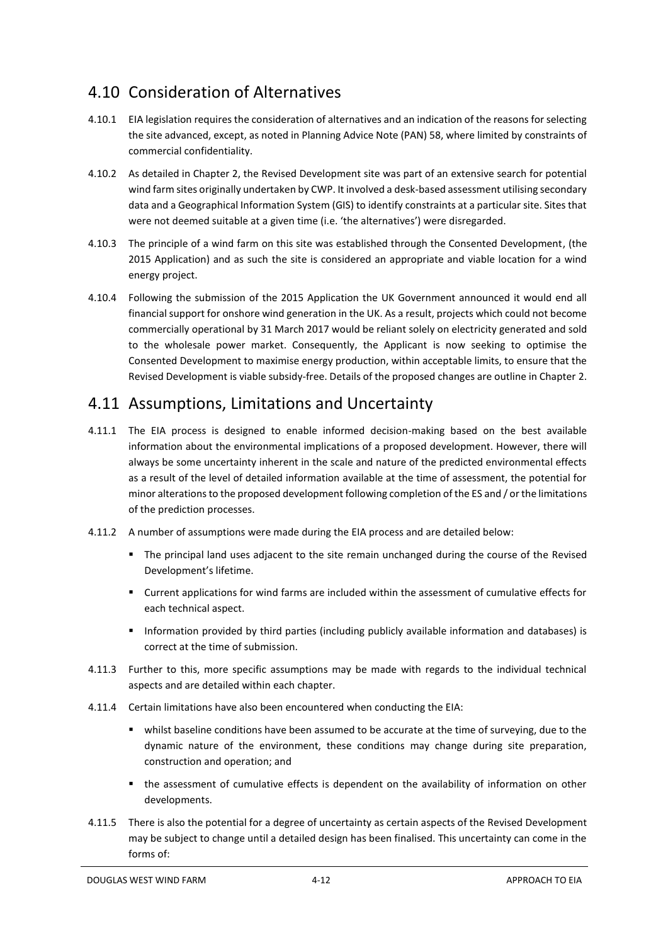### <span id="page-13-0"></span>4.10 Consideration of Alternatives

- 4.10.1 EIA legislation requires the consideration of alternatives and an indication of the reasons for selecting the site advanced, except, as noted in Planning Advice Note (PAN) 58, where limited by constraints of commercial confidentiality.
- 4.10.2 As detailed in Chapter 2, the Revised Development site was part of an extensive search for potential wind farm sites originally undertaken by CWP. It involved a desk-based assessment utilising secondary data and a Geographical Information System (GIS) to identify constraints at a particular site. Sites that were not deemed suitable at a given time (i.e. 'the alternatives') were disregarded.
- 4.10.3 The principle of a wind farm on this site was established through the Consented Development, (the 2015 Application) and as such the site is considered an appropriate and viable location for a wind energy project.
- 4.10.4 Following the submission of the 2015 Application the UK Government announced it would end all financial support for onshore wind generation in the UK. As a result, projects which could not become commercially operational by 31 March 2017 would be reliant solely on electricity generated and sold to the wholesale power market. Consequently, the Applicant is now seeking to optimise the Consented Development to maximise energy production, within acceptable limits, to ensure that the Revised Development is viable subsidy-free. Details of the proposed changes are outline in Chapter 2.

### <span id="page-13-1"></span>4.11 Assumptions, Limitations and Uncertainty

- 4.11.1 The EIA process is designed to enable informed decision-making based on the best available information about the environmental implications of a proposed development. However, there will always be some uncertainty inherent in the scale and nature of the predicted environmental effects as a result of the level of detailed information available at the time of assessment, the potential for minor alterations to the proposed development following completion of the ES and / or the limitations of the prediction processes.
- 4.11.2 A number of assumptions were made during the EIA process and are detailed below:
	- The principal land uses adjacent to the site remain unchanged during the course of the Revised Development's lifetime.
	- Current applications for wind farms are included within the assessment of cumulative effects for each technical aspect.
	- Information provided by third parties (including publicly available information and databases) is correct at the time of submission.
- 4.11.3 Further to this, more specific assumptions may be made with regards to the individual technical aspects and are detailed within each chapter.
- 4.11.4 Certain limitations have also been encountered when conducting the EIA:
	- whilst baseline conditions have been assumed to be accurate at the time of surveying, due to the dynamic nature of the environment, these conditions may change during site preparation, construction and operation; and
	- the assessment of cumulative effects is dependent on the availability of information on other developments.
- 4.11.5 There is also the potential for a degree of uncertainty as certain aspects of the Revised Development may be subject to change until a detailed design has been finalised. This uncertainty can come in the forms of: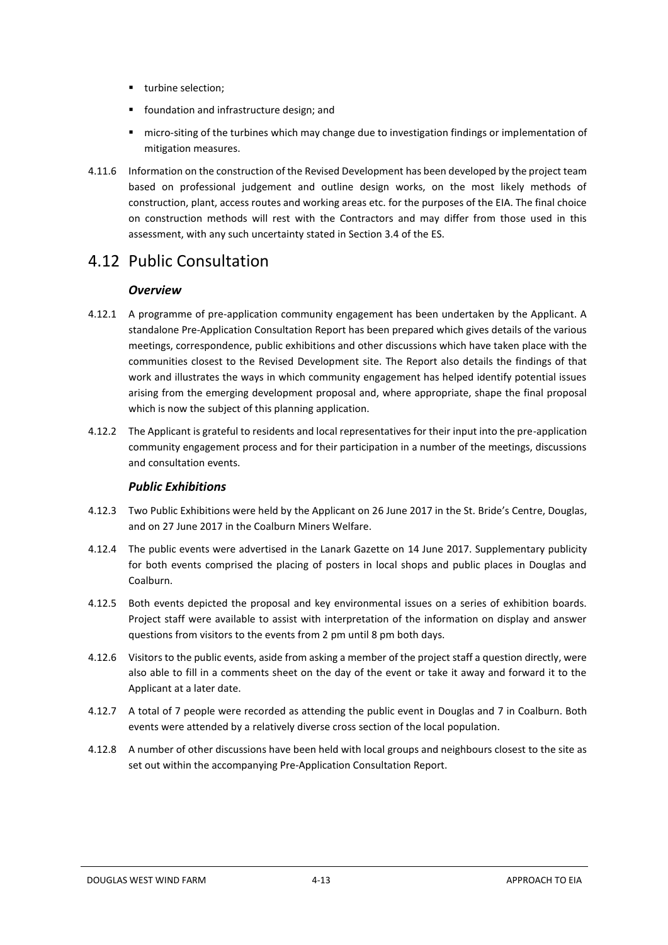- turbine selection;
- foundation and infrastructure design; and
- micro-siting of the turbines which may change due to investigation findings or implementation of mitigation measures.
- 4.11.6 Information on the construction of the Revised Development has been developed by the project team based on professional judgement and outline design works, on the most likely methods of construction, plant, access routes and working areas etc. for the purposes of the EIA. The final choice on construction methods will rest with the Contractors and may differ from those used in this assessment, with any such uncertainty stated in Section 3.4 of the ES.

### <span id="page-14-0"></span>4.12 Public Consultation

#### *Overview*

- 4.12.1 A programme of pre-application community engagement has been undertaken by the Applicant. A standalone Pre-Application Consultation Report has been prepared which gives details of the various meetings, correspondence, public exhibitions and other discussions which have taken place with the communities closest to the Revised Development site. The Report also details the findings of that work and illustrates the ways in which community engagement has helped identify potential issues arising from the emerging development proposal and, where appropriate, shape the final proposal which is now the subject of this planning application.
- 4.12.2 The Applicant is grateful to residents and local representatives for their input into the pre-application community engagement process and for their participation in a number of the meetings, discussions and consultation events.

#### *Public Exhibitions*

- 4.12.3 Two Public Exhibitions were held by the Applicant on 26 June 2017 in the St. Bride's Centre, Douglas, and on 27 June 2017 in the Coalburn Miners Welfare.
- 4.12.4 The public events were advertised in the Lanark Gazette on 14 June 2017. Supplementary publicity for both events comprised the placing of posters in local shops and public places in Douglas and Coalburn.
- 4.12.5 Both events depicted the proposal and key environmental issues on a series of exhibition boards. Project staff were available to assist with interpretation of the information on display and answer questions from visitors to the events from 2 pm until 8 pm both days.
- 4.12.6 Visitors to the public events, aside from asking a member of the project staff a question directly, were also able to fill in a comments sheet on the day of the event or take it away and forward it to the Applicant at a later date.
- 4.12.7 A total of 7 people were recorded as attending the public event in Douglas and 7 in Coalburn. Both events were attended by a relatively diverse cross section of the local population.
- 4.12.8 A number of other discussions have been held with local groups and neighbours closest to the site as set out within the accompanying Pre-Application Consultation Report.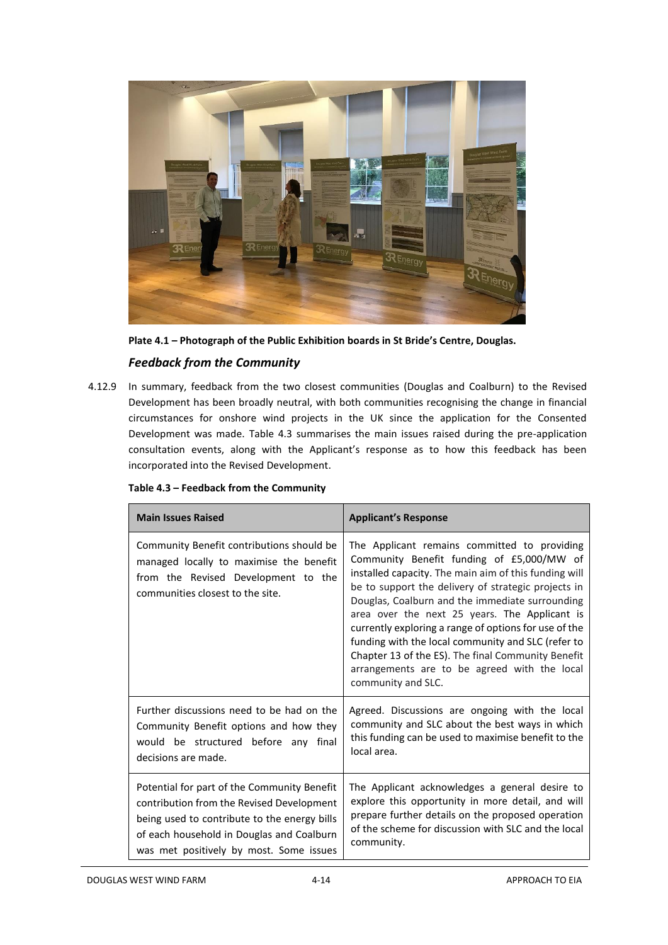

**Plate 4.1 – Photograph of the Public Exhibition boards in St Bride's Centre, Douglas.**

#### *Feedback from the Community*

4.12.9 In summary, feedback from the two closest communities (Douglas and Coalburn) to the Revised Development has been broadly neutral, with both communities recognising the change in financial circumstances for onshore wind projects in the UK since the application for the Consented Development was made. Table 4.3 summarises the main issues raised during the pre-application consultation events, along with the Applicant's response as to how this feedback has been incorporated into the Revised Development.

#### **Table 4.3 – Feedback from the Community**

| <b>Main Issues Raised</b>                                                                                                                                       | <b>Applicant's Response</b>                                                                                                                                                                                                                                                                                                                                                                                                                                                                                                                              |
|-----------------------------------------------------------------------------------------------------------------------------------------------------------------|----------------------------------------------------------------------------------------------------------------------------------------------------------------------------------------------------------------------------------------------------------------------------------------------------------------------------------------------------------------------------------------------------------------------------------------------------------------------------------------------------------------------------------------------------------|
| Community Benefit contributions should be<br>managed locally to maximise the benefit<br>from the Revised Development to the<br>communities closest to the site. | The Applicant remains committed to providing<br>Community Benefit funding of £5,000/MW of<br>installed capacity. The main aim of this funding will<br>be to support the delivery of strategic projects in<br>Douglas, Coalburn and the immediate surrounding<br>area over the next 25 years. The Applicant is<br>currently exploring a range of options for use of the<br>funding with the local community and SLC (refer to<br>Chapter 13 of the ES). The final Community Benefit<br>arrangements are to be agreed with the local<br>community and SLC. |
| Further discussions need to be had on the                                                                                                                       | Agreed. Discussions are ongoing with the local                                                                                                                                                                                                                                                                                                                                                                                                                                                                                                           |
| Community Benefit options and how they                                                                                                                          | community and SLC about the best ways in which                                                                                                                                                                                                                                                                                                                                                                                                                                                                                                           |
| would be structured before any final                                                                                                                            | this funding can be used to maximise benefit to the                                                                                                                                                                                                                                                                                                                                                                                                                                                                                                      |
| decisions are made.                                                                                                                                             | local area.                                                                                                                                                                                                                                                                                                                                                                                                                                                                                                                                              |
| Potential for part of the Community Benefit                                                                                                                     | The Applicant acknowledges a general desire to                                                                                                                                                                                                                                                                                                                                                                                                                                                                                                           |
| contribution from the Revised Development                                                                                                                       | explore this opportunity in more detail, and will                                                                                                                                                                                                                                                                                                                                                                                                                                                                                                        |
| being used to contribute to the energy bills                                                                                                                    | prepare further details on the proposed operation                                                                                                                                                                                                                                                                                                                                                                                                                                                                                                        |
| of each household in Douglas and Coalburn                                                                                                                       | of the scheme for discussion with SLC and the local                                                                                                                                                                                                                                                                                                                                                                                                                                                                                                      |
| was met positively by most. Some issues                                                                                                                         | community.                                                                                                                                                                                                                                                                                                                                                                                                                                                                                                                                               |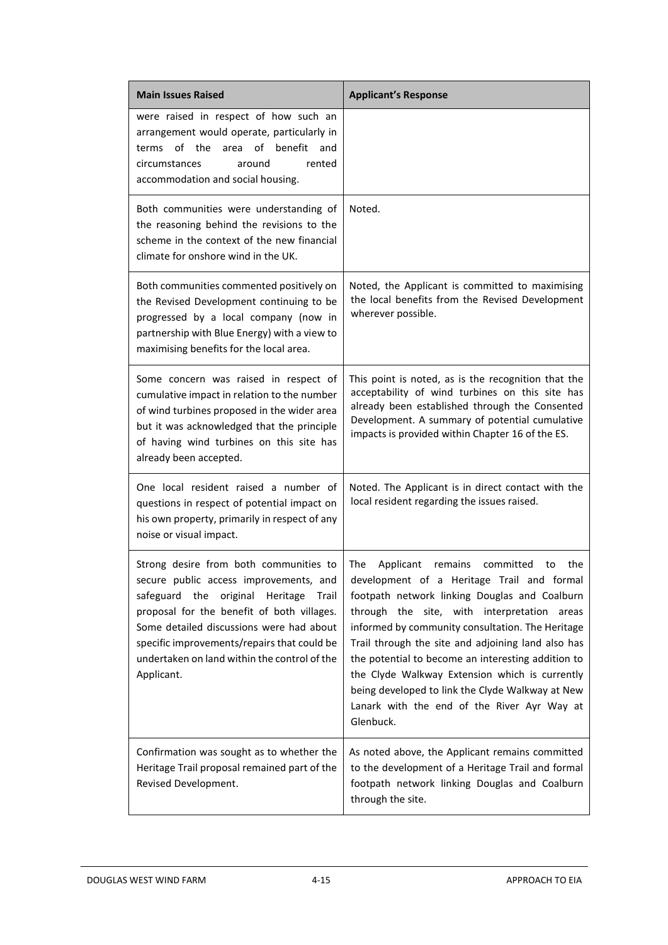| <b>Main Issues Raised</b>                                                                                                                                                                                                                                                                                                        | <b>Applicant's Response</b>                                                                                                                                                                                                                                                                                                                                                                                                                                                                                                              |
|----------------------------------------------------------------------------------------------------------------------------------------------------------------------------------------------------------------------------------------------------------------------------------------------------------------------------------|------------------------------------------------------------------------------------------------------------------------------------------------------------------------------------------------------------------------------------------------------------------------------------------------------------------------------------------------------------------------------------------------------------------------------------------------------------------------------------------------------------------------------------------|
| were raised in respect of how such an<br>arrangement would operate, particularly in<br>terms of the<br>area of<br>benefit<br>and<br>rented<br>circumstances<br>around<br>accommodation and social housing.                                                                                                                       |                                                                                                                                                                                                                                                                                                                                                                                                                                                                                                                                          |
| Both communities were understanding of<br>the reasoning behind the revisions to the<br>scheme in the context of the new financial<br>climate for onshore wind in the UK.                                                                                                                                                         | Noted.                                                                                                                                                                                                                                                                                                                                                                                                                                                                                                                                   |
| Both communities commented positively on<br>the Revised Development continuing to be<br>progressed by a local company (now in<br>partnership with Blue Energy) with a view to<br>maximising benefits for the local area.                                                                                                         | Noted, the Applicant is committed to maximising<br>the local benefits from the Revised Development<br>wherever possible.                                                                                                                                                                                                                                                                                                                                                                                                                 |
| Some concern was raised in respect of<br>cumulative impact in relation to the number<br>of wind turbines proposed in the wider area<br>but it was acknowledged that the principle<br>of having wind turbines on this site has<br>already been accepted.                                                                          | This point is noted, as is the recognition that the<br>acceptability of wind turbines on this site has<br>already been established through the Consented<br>Development. A summary of potential cumulative<br>impacts is provided within Chapter 16 of the ES.                                                                                                                                                                                                                                                                           |
| One local resident raised a number of<br>questions in respect of potential impact on<br>his own property, primarily in respect of any<br>noise or visual impact.                                                                                                                                                                 | Noted. The Applicant is in direct contact with the<br>local resident regarding the issues raised.                                                                                                                                                                                                                                                                                                                                                                                                                                        |
| Strong desire from both communities to<br>secure public access improvements, and<br>safeguard the original Heritage Trail<br>proposal for the benefit of both villages.<br>Some detailed discussions were had about<br>specific improvements/repairs that could be<br>undertaken on land within the control of the<br>Applicant. | The<br>Applicant<br>remains<br>committed<br>the<br>to<br>development of a Heritage Trail and formal<br>footpath network linking Douglas and Coalburn<br>through the site, with interpretation<br>areas<br>informed by community consultation. The Heritage<br>Trail through the site and adjoining land also has<br>the potential to become an interesting addition to<br>the Clyde Walkway Extension which is currently<br>being developed to link the Clyde Walkway at New<br>Lanark with the end of the River Ayr Way at<br>Glenbuck. |
| Confirmation was sought as to whether the<br>Heritage Trail proposal remained part of the<br>Revised Development.                                                                                                                                                                                                                | As noted above, the Applicant remains committed<br>to the development of a Heritage Trail and formal<br>footpath network linking Douglas and Coalburn<br>through the site.                                                                                                                                                                                                                                                                                                                                                               |